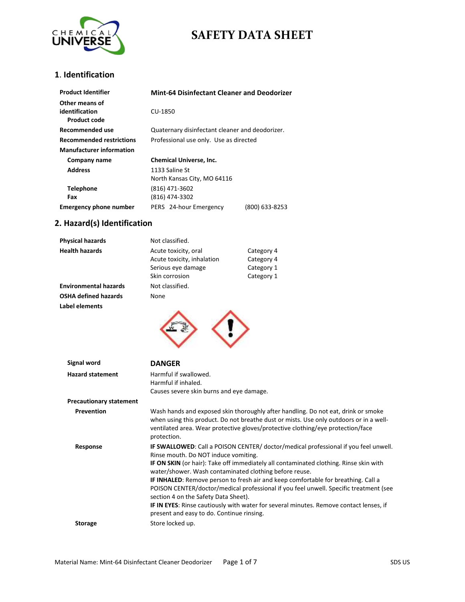

### **1**. **Identification**

| <b>Product Identifier</b>                        | <b>Mint-64 Disinfectant Cleaner and Deodorizer</b> |  |
|--------------------------------------------------|----------------------------------------------------|--|
| Other means of<br>identification<br>Product code | CU-1850                                            |  |
| Recommended use                                  | Quaternary disinfectant cleaner and deodorizer.    |  |
| <b>Recommended restrictions</b>                  | Professional use only. Use as directed             |  |
| <b>Manufacturer information</b>                  |                                                    |  |
| Company name                                     | <b>Chemical Universe, Inc.</b>                     |  |
| <b>Address</b>                                   | 1133 Saline St<br>North Kansas City, MO 64116      |  |
| <b>Telephone</b><br>Fax                          | (816) 471-3602<br>(816) 474-3302                   |  |
| <b>Emergency phone number</b>                    | (800) 633-8253<br>PERS 24-hour Emergency           |  |

## **2. Hazard(s) Identification**

| <b>Physical hazards</b>      | Not classified.                                    |                          |
|------------------------------|----------------------------------------------------|--------------------------|
| <b>Health hazards</b>        | Acute toxicity, oral<br>Acute toxicity, inhalation | Category 4<br>Category 4 |
|                              | Serious eye damage                                 | Category 1               |
|                              | Skin corrosion                                     | Category 1               |
| <b>Environmental hazards</b> | Not classified.                                    |                          |
| <b>OSHA defined hazards</b>  | None                                               |                          |
| Label elements               |                                                    |                          |
|                              |                                                    |                          |
| Signal word                  | <b>DANGER</b>                                      |                          |

| <b>Hazard statement</b>        | Harmful if swallowed.<br>Harmful if inhaled.<br>Causes severe skin burns and eye damage.                                                                                                                                                                                                                                                                                                                                                                                                                                                                                                                                                                  |
|--------------------------------|-----------------------------------------------------------------------------------------------------------------------------------------------------------------------------------------------------------------------------------------------------------------------------------------------------------------------------------------------------------------------------------------------------------------------------------------------------------------------------------------------------------------------------------------------------------------------------------------------------------------------------------------------------------|
| <b>Precautionary statement</b> |                                                                                                                                                                                                                                                                                                                                                                                                                                                                                                                                                                                                                                                           |
| Prevention                     | Wash hands and exposed skin thoroughly after handling. Do not eat, drink or smoke<br>when using this product. Do not breathe dust or mists. Use only outdoors or in a well-<br>ventilated area. Wear protective gloves/protective clothing/eye protection/face<br>protection.                                                                                                                                                                                                                                                                                                                                                                             |
| Response                       | <b>IF SWALLOWED:</b> Call a POISON CENTER/ doctor/medical professional if you feel unwell.<br>Rinse mouth. Do NOT induce vomiting.<br>IF ON SKIN (or hair): Take off immediately all contaminated clothing. Rinse skin with<br>water/shower. Wash contaminated clothing before reuse.<br><b>IF INHALED:</b> Remove person to fresh air and keep comfortable for breathing. Call a<br>POISON CENTER/doctor/medical professional if you feel unwell. Specific treatment (see<br>section 4 on the Safety Data Sheet).<br>IF IN EYES: Rinse cautiously with water for several minutes. Remove contact lenses, if<br>present and easy to do. Continue rinsing. |
| <b>Storage</b>                 | Store locked up.                                                                                                                                                                                                                                                                                                                                                                                                                                                                                                                                                                                                                                          |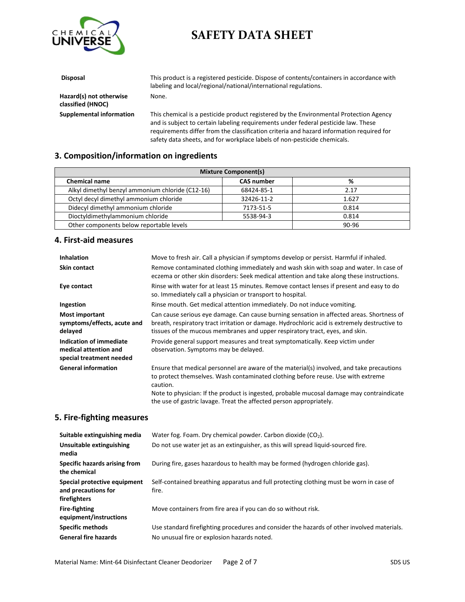

| <b>Disposal</b>                              | This product is a registered pesticide. Dispose of contents/containers in accordance with<br>labeling and local/regional/national/international regulations.                 |
|----------------------------------------------|------------------------------------------------------------------------------------------------------------------------------------------------------------------------------|
| Hazard(s) not otherwise<br>classified (HNOC) | None.                                                                                                                                                                        |
| Supplemental information                     | This chemical is a pesticide product registered by the Environmental Protection Agency<br>and is subject to certain labeling requirements under federal pesticide law. These |

requirements differ from the classification criteria and hazard information required for safety data sheets, and for workplace labels of non-pesticide chemicals.

### **3. Composition/information on ingredients**

| <b>Mixture Component(s)</b>                      |                   |       |
|--------------------------------------------------|-------------------|-------|
| <b>Chemical name</b>                             | <b>CAS number</b> | %     |
| Alkyl dimethyl benzyl ammonium chloride (C12-16) | 68424-85-1        | 2.17  |
| Octyl decyl dimethyl ammonium chloride           | 32426-11-2        | 1.627 |
| Didecyl dimethyl ammonium chloride               | 7173-51-5         | 0.814 |
| Dioctyldimethylammonium chloride<br>5538-94-3    |                   | 0.814 |
| Other components below reportable levels         |                   | 90-96 |

#### **4. First-aid measures**

| <b>Inhalation</b>                                                            | Move to fresh air. Call a physician if symptoms develop or persist. Harmful if inhaled.                                                                                                                                                                                                                                                                       |
|------------------------------------------------------------------------------|---------------------------------------------------------------------------------------------------------------------------------------------------------------------------------------------------------------------------------------------------------------------------------------------------------------------------------------------------------------|
| <b>Skin contact</b>                                                          | Remove contaminated clothing immediately and wash skin with soap and water. In case of<br>eczema or other skin disorders: Seek medical attention and take along these instructions.                                                                                                                                                                           |
| Eye contact                                                                  | Rinse with water for at least 15 minutes. Remove contact lenses if present and easy to do<br>so. Immediately call a physician or transport to hospital.                                                                                                                                                                                                       |
| Ingestion                                                                    | Rinse mouth. Get medical attention immediately. Do not induce vomiting.                                                                                                                                                                                                                                                                                       |
| <b>Most important</b><br>symptoms/effects, acute and<br>delayed              | Can cause serious eye damage. Can cause burning sensation in affected areas. Shortness of<br>breath, respiratory tract irritation or damage. Hydrochloric acid is extremely destructive to<br>tissues of the mucous membranes and upper respiratory tract, eyes, and skin.                                                                                    |
| Indication of immediate<br>medical attention and<br>special treatment needed | Provide general support measures and treat symptomatically. Keep victim under<br>observation. Symptoms may be delayed.                                                                                                                                                                                                                                        |
| <b>General information</b>                                                   | Ensure that medical personnel are aware of the material(s) involved, and take precautions<br>to protect themselves. Wash contaminated clothing before reuse. Use with extreme<br>caution.<br>Note to physician: If the product is ingested, probable mucosal damage may contraindicate<br>the use of gastric lavage. Treat the affected person appropriately. |

#### **5. Fire-fighting measures**

| Suitable extinguishing media                                        | Water fog. Foam. Dry chemical powder. Carbon dioxide $(CO2)$ .                                   |
|---------------------------------------------------------------------|--------------------------------------------------------------------------------------------------|
| Unsuitable extinguishing<br>media                                   | Do not use water jet as an extinguisher, as this will spread liquid-sourced fire.                |
| Specific hazards arising from<br>the chemical                       | During fire, gases hazardous to health may be formed (hydrogen chloride gas).                    |
| Special protective equipment<br>and precautions for<br>firefighters | Self-contained breathing apparatus and full protecting clothing must be worn in case of<br>fire. |
| <b>Fire-fighting</b><br>equipment/instructions                      | Move containers from fire area if you can do so without risk.                                    |
| <b>Specific methods</b>                                             | Use standard firefighting procedures and consider the hazards of other involved materials.       |
| <b>General fire hazards</b>                                         | No unusual fire or explosion hazards noted.                                                      |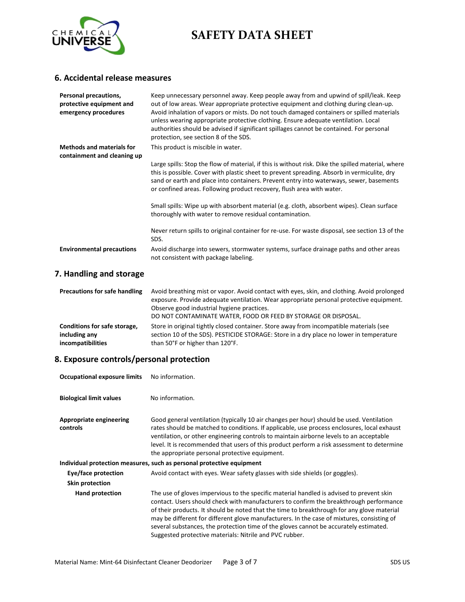

### **6. Accidental release measures**

| <b>Personal precautions,</b><br>protective equipment and<br>emergency procedures | Keep unnecessary personnel away. Keep people away from and upwind of spill/leak. Keep<br>out of low areas. Wear appropriate protective equipment and clothing during clean-up.<br>Avoid inhalation of vapors or mists. Do not touch damaged containers or spilled materials<br>unless wearing appropriate protective clothing. Ensure adequate ventilation. Local<br>authorities should be advised if significant spillages cannot be contained. For personal<br>protection, see section 8 of the SDS. |
|----------------------------------------------------------------------------------|--------------------------------------------------------------------------------------------------------------------------------------------------------------------------------------------------------------------------------------------------------------------------------------------------------------------------------------------------------------------------------------------------------------------------------------------------------------------------------------------------------|
| <b>Methods and materials for</b><br>containment and cleaning up                  | This product is miscible in water.                                                                                                                                                                                                                                                                                                                                                                                                                                                                     |
|                                                                                  | Large spills: Stop the flow of material, if this is without risk. Dike the spilled material, where<br>this is possible. Cover with plastic sheet to prevent spreading. Absorb in vermiculite, dry<br>sand or earth and place into containers. Prevent entry into waterways, sewer, basements<br>or confined areas. Following product recovery, flush area with water.                                                                                                                                  |
|                                                                                  | Small spills: Wipe up with absorbent material (e.g. cloth, absorbent wipes). Clean surface<br>thoroughly with water to remove residual contamination.                                                                                                                                                                                                                                                                                                                                                  |
|                                                                                  | Never return spills to original container for re-use. For waste disposal, see section 13 of the<br>SDS.                                                                                                                                                                                                                                                                                                                                                                                                |
| <b>Environmental precautions</b>                                                 | Avoid discharge into sewers, stormwater systems, surface drainage paths and other areas<br>not consistent with package labeling.                                                                                                                                                                                                                                                                                                                                                                       |

## **7. Handling and storage**

| <b>Precautions for safe handling</b> | Avoid breathing mist or vapor. Avoid contact with eyes, skin, and clothing. Avoid prolonged<br>exposure. Provide adequate ventilation. Wear appropriate personal protective equipment.<br>Observe good industrial hygiene practices.<br>DO NOT CONTAMINATE WATER, FOOD OR FEED BY STORAGE OR DISPOSAL. |
|--------------------------------------|--------------------------------------------------------------------------------------------------------------------------------------------------------------------------------------------------------------------------------------------------------------------------------------------------------|
| Conditions for safe storage,         | Store in original tightly closed container. Store away from incompatible materials (see                                                                                                                                                                                                                |
| including any                        | section 10 of the SDS). PESTICIDE STORAGE: Store in a dry place no lower in temperature                                                                                                                                                                                                                |
| incompatibilities                    | than 50°F or higher than 120°F.                                                                                                                                                                                                                                                                        |

### **8. Exposure controls/personal protection**

| <b>Occupational exposure limits</b> | No information.                                                                                                                                                                                                                                                                                                                                                                                                                                                                                                                    |
|-------------------------------------|------------------------------------------------------------------------------------------------------------------------------------------------------------------------------------------------------------------------------------------------------------------------------------------------------------------------------------------------------------------------------------------------------------------------------------------------------------------------------------------------------------------------------------|
| <b>Biological limit values</b>      | No information.                                                                                                                                                                                                                                                                                                                                                                                                                                                                                                                    |
| Appropriate engineering<br>controls | Good general ventilation (typically 10 air changes per hour) should be used. Ventilation<br>rates should be matched to conditions. If applicable, use process enclosures, local exhaust<br>ventilation, or other engineering controls to maintain airborne levels to an acceptable<br>level. It is recommended that users of this product perform a risk assessment to determine<br>the appropriate personal protective equipment.                                                                                                 |
|                                     | Individual protection measures, such as personal protective equipment                                                                                                                                                                                                                                                                                                                                                                                                                                                              |
| Eye/face protection                 | Avoid contact with eyes. Wear safety glasses with side shields (or goggles).                                                                                                                                                                                                                                                                                                                                                                                                                                                       |
| Skin protection                     |                                                                                                                                                                                                                                                                                                                                                                                                                                                                                                                                    |
| <b>Hand protection</b>              | The use of gloves impervious to the specific material handled is advised to prevent skin<br>contact. Users should check with manufacturers to confirm the breakthrough performance<br>of their products. It should be noted that the time to breakthrough for any glove material<br>may be different for different glove manufacturers. In the case of mixtures, consisting of<br>several substances, the protection time of the gloves cannot be accurately estimated.<br>Suggested protective materials: Nitrile and PVC rubber. |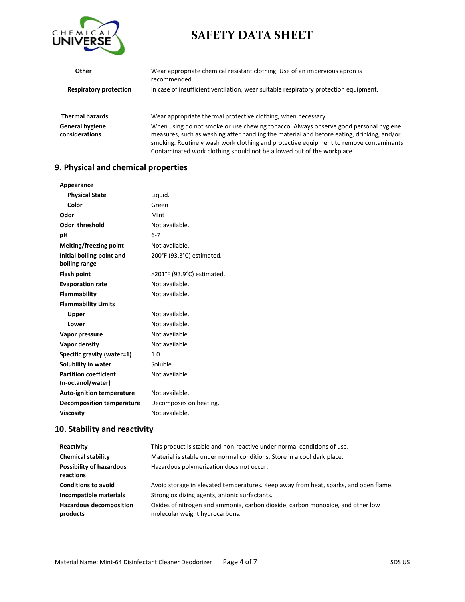

| <b>Other</b>                      | Wear appropriate chemical resistant clothing. Use of an impervious apron is<br>recommended.                                                                                                                                                                                                                                                           |
|-----------------------------------|-------------------------------------------------------------------------------------------------------------------------------------------------------------------------------------------------------------------------------------------------------------------------------------------------------------------------------------------------------|
| <b>Respiratory protection</b>     | In case of insufficient ventilation, wear suitable respiratory protection equipment.                                                                                                                                                                                                                                                                  |
| <b>Thermal hazards</b>            | Wear appropriate thermal protective clothing, when necessary.                                                                                                                                                                                                                                                                                         |
| General hygiene<br>considerations | When using do not smoke or use chewing tobacco. Always observe good personal hygiene<br>measures, such as washing after handling the material and before eating, drinking, and/or<br>smoking. Routinely wash work clothing and protective equipment to remove contaminants.<br>Contaminated work clothing should not be allowed out of the workplace. |

### **9. Physical and chemical properties**

| Appearance                       |                            |
|----------------------------------|----------------------------|
| <b>Physical State</b>            | Liquid.                    |
| Color                            | Green                      |
| Odor                             | Mint                       |
| <b>Odor threshold</b>            | Not available.             |
| рH                               | $6 - 7$                    |
| Melting/freezing point           | Not available.             |
| Initial boiling point and        | 200°F (93.3°C) estimated.  |
| boiling range                    |                            |
| <b>Flash point</b>               | >201°F (93.9°C) estimated. |
| <b>Evaporation rate</b>          | Not available.             |
| Flammability                     | Not available.             |
| <b>Flammability Limits</b>       |                            |
| Upper                            | Not available.             |
| Lower                            | Not available.             |
| Vapor pressure                   | Not available.             |
| Vapor density                    | Not available.             |
| Specific gravity (water=1)       | 1.0                        |
| Solubility in water              | Soluble.                   |
| <b>Partition coefficient</b>     | Not available.             |
| (n-octanol/water)                |                            |
| <b>Auto-ignition temperature</b> | Not available.             |
| <b>Decomposition temperature</b> | Decomposes on heating.     |
| <b>Viscosity</b>                 | Not available.             |

## **10. Stability and reactivity**

| Reactivity                                   | This product is stable and non-reactive under normal conditions of use.                                          |
|----------------------------------------------|------------------------------------------------------------------------------------------------------------------|
| <b>Chemical stability</b>                    | Material is stable under normal conditions. Store in a cool dark place.                                          |
| <b>Possibility of hazardous</b><br>reactions | Hazardous polymerization does not occur.                                                                         |
| <b>Conditions to avoid</b>                   | Avoid storage in elevated temperatures. Keep away from heat, sparks, and open flame.                             |
| Incompatible materials                       | Strong oxidizing agents, anionic surfactants.                                                                    |
| <b>Hazardous decomposition</b><br>products   | Oxides of nitrogen and ammonia, carbon dioxide, carbon monoxide, and other low<br>molecular weight hydrocarbons. |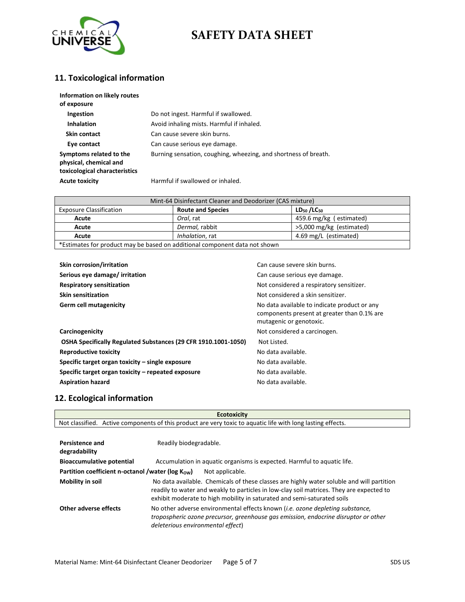

## **11. Toxicological information**

| Information on likely routes<br>of exposure                                        |                                                                 |
|------------------------------------------------------------------------------------|-----------------------------------------------------------------|
| Ingestion                                                                          | Do not ingest. Harmful if swallowed.                            |
| <b>Inhalation</b>                                                                  | Avoid inhaling mists. Harmful if inhaled.                       |
| Skin contact                                                                       | Can cause severe skin burns.                                    |
| Eye contact                                                                        | Can cause serious eye damage.                                   |
| Symptoms related to the<br>physical, chemical and<br>toxicological characteristics | Burning sensation, coughing, wheezing, and shortness of breath. |
| <b>Acute toxicity</b>                                                              | Harmful if swallowed or inhaled.                                |

| Mint-64 Disinfectant Cleaner and Deodorizer (CAS mixture)                  |                          |                          |  |
|----------------------------------------------------------------------------|--------------------------|--------------------------|--|
| <b>Exposure Classification</b>                                             | <b>Route and Species</b> | $LD_{50} / LC_{50}$      |  |
| Acute                                                                      | Oral. rat                | 459.6 mg/kg (estimated)  |  |
| Acute                                                                      | Dermal, rabbit           | >5,000 mg/kg (estimated) |  |
| Acute                                                                      | Inhalation, rat          | 4.69 mg/L (estimated)    |  |
| *Estimates for product may be based on additional component data not shown |                          |                          |  |

| <b>Skin corrosion/irritation</b>                               | Can cause severe skin burns.                                                                                           |
|----------------------------------------------------------------|------------------------------------------------------------------------------------------------------------------------|
| Serious eye damage/irritation                                  | Can cause serious eye damage.                                                                                          |
| <b>Respiratory sensitization</b>                               | Not considered a respiratory sensitizer.                                                                               |
| <b>Skin sensitization</b>                                      | Not considered a skin sensitizer.                                                                                      |
| Germ cell mutagenicity                                         | No data available to indicate product or any<br>components present at greater than 0.1% are<br>mutagenic or genotoxic. |
| Carcinogenicity                                                | Not considered a carcinogen.                                                                                           |
| OSHA Specifically Regulated Substances (29 CFR 1910.1001-1050) | Not Listed.                                                                                                            |
| <b>Reproductive toxicity</b>                                   | No data available.                                                                                                     |
| Specific target organ toxicity – single exposure               | No data available.                                                                                                     |
| Specific target organ toxicity – repeated exposure             | No data available.                                                                                                     |
| <b>Aspiration hazard</b>                                       | No data available.                                                                                                     |

### **12. Ecological information**

| <b>Ecotoxicity</b>                                                         |                                                                                                                                                                                                                                                                  |  |
|----------------------------------------------------------------------------|------------------------------------------------------------------------------------------------------------------------------------------------------------------------------------------------------------------------------------------------------------------|--|
|                                                                            | Not classified. Active components of this product are very toxic to aquatic life with long lasting effects.                                                                                                                                                      |  |
| <b>Persistence and</b><br>degradability                                    | Readily biodegradable.                                                                                                                                                                                                                                           |  |
| <b>Bioaccumulative potential</b>                                           | Accumulation in aquatic organisms is expected. Harmful to aquatic life.                                                                                                                                                                                          |  |
| Partition coefficient n-octanol /water ( $log K_{OW}$ )<br>Not applicable. |                                                                                                                                                                                                                                                                  |  |
| Mobility in soil                                                           | No data available. Chemicals of these classes are highly water soluble and will partition<br>readily to water and weakly to particles in low-clay soil matrices. They are expected to<br>exhibit moderate to high mobility in saturated and semi-saturated soils |  |
| Other adverse effects                                                      | No other adverse environmental effects known <i>(i.e. ozone depleting substance,</i><br>tropospheric ozone precursor, greenhouse gas emission, endocrine disruptor or other<br>deleterious environmental effect)                                                 |  |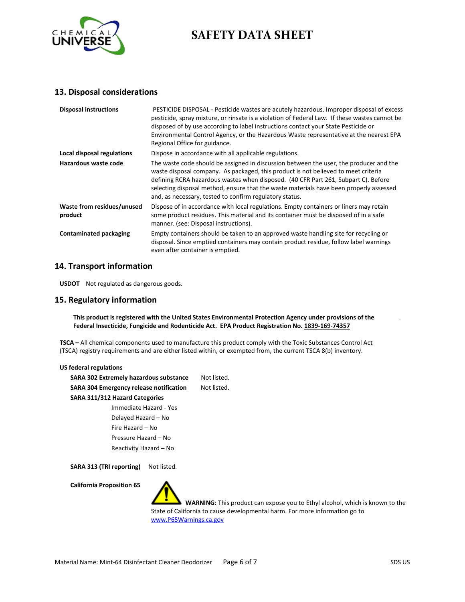

#### **13. Disposal considerations**

| <b>Disposal instructions</b>          | PESTICIDE DISPOSAL - Pesticide wastes are acutely hazardous. Improper disposal of excess<br>pesticide, spray mixture, or rinsate is a violation of Federal Law. If these wastes cannot be<br>disposed of by use according to label instructions contact your State Pesticide or<br>Environmental Control Agency, or the Hazardous Waste representative at the nearest EPA<br>Regional Office for guidance.              |
|---------------------------------------|-------------------------------------------------------------------------------------------------------------------------------------------------------------------------------------------------------------------------------------------------------------------------------------------------------------------------------------------------------------------------------------------------------------------------|
| Local disposal regulations            | Dispose in accordance with all applicable regulations.                                                                                                                                                                                                                                                                                                                                                                  |
| Hazardous waste code                  | The waste code should be assigned in discussion between the user, the producer and the<br>waste disposal company. As packaged, this product is not believed to meet criteria<br>defining RCRA hazardous wastes when disposed. (40 CFR Part 261, Subpart C). Before<br>selecting disposal method, ensure that the waste materials have been properly assessed<br>and, as necessary, tested to confirm regulatory status. |
| Waste from residues/unused<br>product | Dispose of in accordance with local regulations. Empty containers or liners may retain<br>some product residues. This material and its container must be disposed of in a safe<br>manner. (see: Disposal instructions).                                                                                                                                                                                                 |
| <b>Contaminated packaging</b>         | Empty containers should be taken to an approved waste handling site for recycling or<br>disposal. Since emptied containers may contain product residue, follow label warnings<br>even after container is emptied.                                                                                                                                                                                                       |

#### **14. Transport information**

**USDOT** Not regulated as dangerous goods.

#### **15. Regulatory information**

**This product is registered with the United States Environmental Protection Agency under provisions of the Federal Insecticide, Fungicide and Rodenticide Act. EPA Product Registration No. 1839-169-74357**

**TSCA –** All chemical components used to manufacture this product comply with the Toxic Substances Control Act (TSCA) registry requirements and are either listed within, or exempted from, the current TSCA 8(b) inventory.

| US federal regulations                         |             |
|------------------------------------------------|-------------|
| <b>SARA 302 Extremely hazardous substance</b>  | Not listed. |
| <b>SARA 304 Emergency release notification</b> | Not listed. |
| SARA 311/312 Hazard Categories                 |             |
| Immediate Hazard - Yes                         |             |
| Delayed Hazard - No                            |             |
| Fire Hazard - No                               |             |
| Pressure Hazard - No                           |             |
| Reactivity Hazard - No                         |             |
|                                                |             |

SARA 313 (TRI reporting) Not listed.

**California Proposition 65**

 **WARNING:** This product can expose you to Ethyl alcohol, which is known to the State of California to cause developmental harm. For more information go to [www.P65Warnings.ca.gov](http://www.p65warnings.ca.gov/)

.